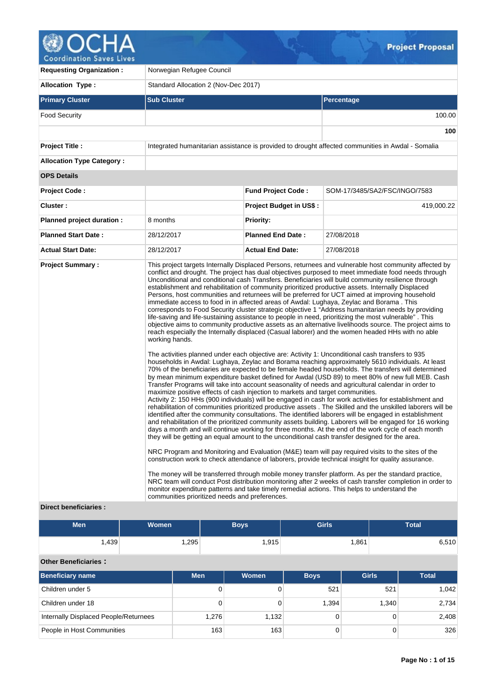# Coordination Saves Lives

V.

| <b>Requesting Organization:</b>                         | Norwegian Refugee Council                                                                                                                                                                                                                                                                                                                     |                                |                                                                                                                                                                                                                                                                                                                                                                                                                                                                                                                                                                                                                                                                                                                                                                                                                                                                                                                                                                                                                                                                                                                                                                                                                                                                                                                                                                                                                                                                                                                                                                                                                                                                                                                                                                                                                                                                                                                                                                                                                                                                                                                                                                                                                                                                                                                                                                                                                                                                                                                                                                               |  |  |  |  |  |
|---------------------------------------------------------|-----------------------------------------------------------------------------------------------------------------------------------------------------------------------------------------------------------------------------------------------------------------------------------------------------------------------------------------------|--------------------------------|-------------------------------------------------------------------------------------------------------------------------------------------------------------------------------------------------------------------------------------------------------------------------------------------------------------------------------------------------------------------------------------------------------------------------------------------------------------------------------------------------------------------------------------------------------------------------------------------------------------------------------------------------------------------------------------------------------------------------------------------------------------------------------------------------------------------------------------------------------------------------------------------------------------------------------------------------------------------------------------------------------------------------------------------------------------------------------------------------------------------------------------------------------------------------------------------------------------------------------------------------------------------------------------------------------------------------------------------------------------------------------------------------------------------------------------------------------------------------------------------------------------------------------------------------------------------------------------------------------------------------------------------------------------------------------------------------------------------------------------------------------------------------------------------------------------------------------------------------------------------------------------------------------------------------------------------------------------------------------------------------------------------------------------------------------------------------------------------------------------------------------------------------------------------------------------------------------------------------------------------------------------------------------------------------------------------------------------------------------------------------------------------------------------------------------------------------------------------------------------------------------------------------------------------------------------------------------|--|--|--|--|--|
| <b>Allocation Type:</b>                                 | Standard Allocation 2 (Nov-Dec 2017)                                                                                                                                                                                                                                                                                                          |                                |                                                                                                                                                                                                                                                                                                                                                                                                                                                                                                                                                                                                                                                                                                                                                                                                                                                                                                                                                                                                                                                                                                                                                                                                                                                                                                                                                                                                                                                                                                                                                                                                                                                                                                                                                                                                                                                                                                                                                                                                                                                                                                                                                                                                                                                                                                                                                                                                                                                                                                                                                                               |  |  |  |  |  |
| <b>Primary Cluster</b>                                  | <b>Sub Cluster</b>                                                                                                                                                                                                                                                                                                                            |                                | <b>Percentage</b>                                                                                                                                                                                                                                                                                                                                                                                                                                                                                                                                                                                                                                                                                                                                                                                                                                                                                                                                                                                                                                                                                                                                                                                                                                                                                                                                                                                                                                                                                                                                                                                                                                                                                                                                                                                                                                                                                                                                                                                                                                                                                                                                                                                                                                                                                                                                                                                                                                                                                                                                                             |  |  |  |  |  |
| <b>Food Security</b>                                    |                                                                                                                                                                                                                                                                                                                                               |                                | 100.00                                                                                                                                                                                                                                                                                                                                                                                                                                                                                                                                                                                                                                                                                                                                                                                                                                                                                                                                                                                                                                                                                                                                                                                                                                                                                                                                                                                                                                                                                                                                                                                                                                                                                                                                                                                                                                                                                                                                                                                                                                                                                                                                                                                                                                                                                                                                                                                                                                                                                                                                                                        |  |  |  |  |  |
|                                                         |                                                                                                                                                                                                                                                                                                                                               |                                | 100                                                                                                                                                                                                                                                                                                                                                                                                                                                                                                                                                                                                                                                                                                                                                                                                                                                                                                                                                                                                                                                                                                                                                                                                                                                                                                                                                                                                                                                                                                                                                                                                                                                                                                                                                                                                                                                                                                                                                                                                                                                                                                                                                                                                                                                                                                                                                                                                                                                                                                                                                                           |  |  |  |  |  |
| <b>Project Title:</b>                                   |                                                                                                                                                                                                                                                                                                                                               |                                | Integrated humanitarian assistance is provided to drought affected communities in Awdal - Somalia                                                                                                                                                                                                                                                                                                                                                                                                                                                                                                                                                                                                                                                                                                                                                                                                                                                                                                                                                                                                                                                                                                                                                                                                                                                                                                                                                                                                                                                                                                                                                                                                                                                                                                                                                                                                                                                                                                                                                                                                                                                                                                                                                                                                                                                                                                                                                                                                                                                                             |  |  |  |  |  |
| <b>Allocation Type Category:</b>                        |                                                                                                                                                                                                                                                                                                                                               |                                |                                                                                                                                                                                                                                                                                                                                                                                                                                                                                                                                                                                                                                                                                                                                                                                                                                                                                                                                                                                                                                                                                                                                                                                                                                                                                                                                                                                                                                                                                                                                                                                                                                                                                                                                                                                                                                                                                                                                                                                                                                                                                                                                                                                                                                                                                                                                                                                                                                                                                                                                                                               |  |  |  |  |  |
| <b>OPS Details</b>                                      |                                                                                                                                                                                                                                                                                                                                               |                                |                                                                                                                                                                                                                                                                                                                                                                                                                                                                                                                                                                                                                                                                                                                                                                                                                                                                                                                                                                                                                                                                                                                                                                                                                                                                                                                                                                                                                                                                                                                                                                                                                                                                                                                                                                                                                                                                                                                                                                                                                                                                                                                                                                                                                                                                                                                                                                                                                                                                                                                                                                               |  |  |  |  |  |
| <b>Project Code:</b>                                    |                                                                                                                                                                                                                                                                                                                                               | <b>Fund Project Code:</b>      | SOM-17/3485/SA2/FSC/INGO/7583                                                                                                                                                                                                                                                                                                                                                                                                                                                                                                                                                                                                                                                                                                                                                                                                                                                                                                                                                                                                                                                                                                                                                                                                                                                                                                                                                                                                                                                                                                                                                                                                                                                                                                                                                                                                                                                                                                                                                                                                                                                                                                                                                                                                                                                                                                                                                                                                                                                                                                                                                 |  |  |  |  |  |
| Cluster:                                                |                                                                                                                                                                                                                                                                                                                                               | <b>Project Budget in US\$:</b> | 419,000.22                                                                                                                                                                                                                                                                                                                                                                                                                                                                                                                                                                                                                                                                                                                                                                                                                                                                                                                                                                                                                                                                                                                                                                                                                                                                                                                                                                                                                                                                                                                                                                                                                                                                                                                                                                                                                                                                                                                                                                                                                                                                                                                                                                                                                                                                                                                                                                                                                                                                                                                                                                    |  |  |  |  |  |
| Planned project duration :                              | 8 months                                                                                                                                                                                                                                                                                                                                      | <b>Priority:</b>               |                                                                                                                                                                                                                                                                                                                                                                                                                                                                                                                                                                                                                                                                                                                                                                                                                                                                                                                                                                                                                                                                                                                                                                                                                                                                                                                                                                                                                                                                                                                                                                                                                                                                                                                                                                                                                                                                                                                                                                                                                                                                                                                                                                                                                                                                                                                                                                                                                                                                                                                                                                               |  |  |  |  |  |
| <b>Planned Start Date:</b>                              | 28/12/2017                                                                                                                                                                                                                                                                                                                                    | <b>Planned End Date:</b>       | 27/08/2018                                                                                                                                                                                                                                                                                                                                                                                                                                                                                                                                                                                                                                                                                                                                                                                                                                                                                                                                                                                                                                                                                                                                                                                                                                                                                                                                                                                                                                                                                                                                                                                                                                                                                                                                                                                                                                                                                                                                                                                                                                                                                                                                                                                                                                                                                                                                                                                                                                                                                                                                                                    |  |  |  |  |  |
| <b>Actual Start Date:</b>                               | 28/12/2017                                                                                                                                                                                                                                                                                                                                    | <b>Actual End Date:</b>        | 27/08/2018                                                                                                                                                                                                                                                                                                                                                                                                                                                                                                                                                                                                                                                                                                                                                                                                                                                                                                                                                                                                                                                                                                                                                                                                                                                                                                                                                                                                                                                                                                                                                                                                                                                                                                                                                                                                                                                                                                                                                                                                                                                                                                                                                                                                                                                                                                                                                                                                                                                                                                                                                                    |  |  |  |  |  |
| <b>Project Summary:</b><br><b>Direct beneficiaries:</b> | immediate access to food in in affected areas of Awdal: Lughaya, Zeylac and Borama. This<br>working hands.<br>maximize positive effects of cash injection to markets and target communities.<br>monitor expenditure patterns and take timely remedial actions. This helps to understand the<br>communities prioritized needs and preferences. |                                | This project targets Internally Displaced Persons, returnees and vulnerable host community affected by<br>conflict and drought. The project has dual objectives purposed to meet immediate food needs through<br>Unconditional and conditional cash Transfers. Beneficiaries will build community resilience through<br>establishment and rehabilitation of community prioritized productive assets. Internally Displaced<br>Persons, host communities and returnees will be preferred for UCT aimed at improving household<br>corresponds to Food Security cluster strategic objective 1 "Address humanitarian needs by providing<br>life-saving and life-sustaining assistance to people in need, prioritizing the most vulnerable". This<br>objective aims to community productive assets as an alternative livelihoods source. The project aims to<br>reach especially the Internally displaced (Casual laborer) and the women headed HHs with no able<br>The activities planned under each objective are: Activity 1: Unconditional cash transfers to 935<br>households in Awdal: Lughaya, Zeylac and Borama reaching approximately 5610 individuals. At least<br>70% of the beneficiaries are expected to be female headed households. The transfers will determined<br>by mean minimum expenditure basket defined for Awdal (USD 89) to meet 80% of new full MEB. Cash<br>Transfer Programs will take into account seasonality of needs and agricultural calendar in order to<br>Activity 2: 150 HHs (900 individuals) will be engaged in cash for work activities for establishment and<br>rehabilitation of communities prioritized productive assets . The Skilled and the unskilled laborers will be<br>identified after the community consultations. The identified laborers will be engaged in establishment<br>and rehabilitation of the prioritized community assets building. Laborers will be engaged for 16 working<br>days a month and will continue working for three months. At the end of the work cycle of each month<br>they will be getting an equal amount to the unconditional cash transfer designed for the area.<br>NRC Program and Monitoring and Evaluation (M&E) team will pay required visits to the sites of the<br>construction work to check attendance of laborers, provide technical insight for quality assurance.<br>The money will be transferred through mobile money transfer platform. As per the standard practice,<br>NRC team will conduct Post distribution monitoring after 2 weeks of cash transfer completion in order to |  |  |  |  |  |

 $\mathcal{G}$ 

## **Direct beneficiaries :**

| <b>Men</b>                            | <b>Women</b> |            | <b>Boys</b> | <b>Girls</b> |              | <b>Total</b> |  |  |  |  |  |
|---------------------------------------|--------------|------------|-------------|--------------|--------------|--------------|--|--|--|--|--|
| 1,439                                 |              | 1,295      | 1,915       |              | 1,861        | 6,510        |  |  |  |  |  |
| <b>Other Beneficiaries:</b>           |              |            |             |              |              |              |  |  |  |  |  |
| <b>Beneficiary name</b>               |              | <b>Men</b> | Women       | <b>Boys</b>  | <b>Girls</b> | <b>Total</b> |  |  |  |  |  |
| Children under 5                      |              | 0          | 0           | 521          | 521          | 1,042        |  |  |  |  |  |
| Children under 18                     |              | 0          | 0           | 1,394        | 1,340        | 2,734        |  |  |  |  |  |
| Internally Displaced People/Returnees |              | 1,276      | 1,132       | $\Omega$     | $\Omega$     | 2,408        |  |  |  |  |  |
| People in Host Communities            |              | 163        | 163         | $\Omega$     | $\Omega$     | 326          |  |  |  |  |  |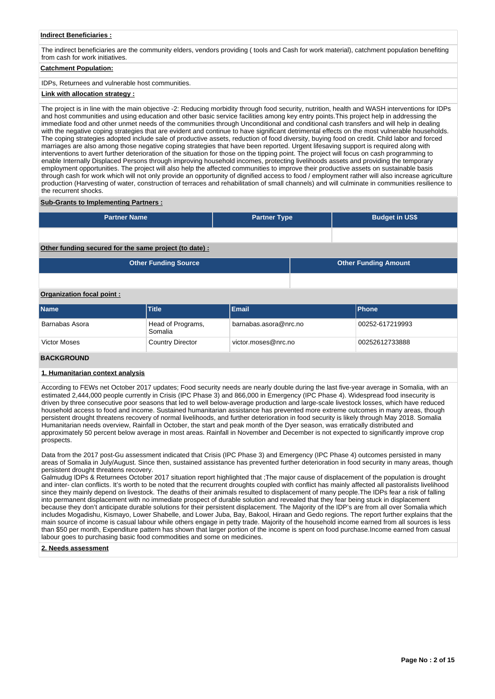## **Indirect Beneficiaries :**

The indirect beneficiaries are the community elders, vendors providing ( tools and Cash for work material), catchment population benefiting from cash for work initiatives.

# **Catchment Population:**

IDPs, Returnees and vulnerable host communities.

#### **Link with allocation strategy :**

The project is in line with the main objective -2: Reducing morbidity through food security, nutrition, health and WASH interventions for IDPs and host communities and using education and other basic service facilities among key entry points.This project help in addressing the immediate food and other unmet needs of the communities through Unconditional and conditional cash transfers and will help in dealing with the negative coping strategies that are evident and continue to have significant detrimental effects on the most vulnerable households. The coping strategies adopted include sale of productive assets, reduction of food diversity, buying food on credit. Child labor and forced marriages are also among those negative coping strategies that have been reported. Urgent lifesaving support is required along with interventions to avert further deterioration of the situation for those on the tipping point. The project will focus on cash programming to enable Internally Displaced Persons through improving household incomes, protecting livelihoods assets and providing the temporary employment opportunities. The project will also help the affected communities to improve their productive assets on sustainable basis through cash for work which will not only provide an opportunity of dignified access to food / employment rather will also increase agriculture production (Harvesting of water, construction of terraces and rehabilitation of small channels) and will culminate in communities resilience to the recurrent shocks.

#### **Sub-Grants to Implementing Partners :**

| <b>Partner Name</b>                                   | <b>Partner Type</b> | <b>Budget in US\$</b>       |
|-------------------------------------------------------|---------------------|-----------------------------|
|                                                       |                     |                             |
| Other funding secured for the same project (to date): |                     |                             |
| <b>Other Funding Source</b>                           |                     | <b>Other Funding Amount</b> |

# **Organization focal point :**

| <b>Name</b>         | Title                        | <b>Email</b>          | <b>Phone</b>    |
|---------------------|------------------------------|-----------------------|-----------------|
| Barnabas Asora      | Head of Programs,<br>Somalia | barnabas.asora@nrc.no | 00252-617219993 |
| <b>Victor Moses</b> | Country Director             | victor.moses@nrc.no   | 00252612733888  |

#### **BACKGROUND**

#### **1. Humanitarian context analysis**

According to FEWs net October 2017 updates; Food security needs are nearly double during the last five-year average in Somalia, with an estimated 2,444,000 people currently in Crisis (IPC Phase 3) and 866,000 in Emergency (IPC Phase 4). Widespread food insecurity is driven by three consecutive poor seasons that led to well below-average production and large-scale livestock losses, which have reduced household access to food and income. Sustained humanitarian assistance has prevented more extreme outcomes in many areas, though persistent drought threatens recovery of normal livelihoods, and further deterioration in food security is likely through May 2018. Somalia Humanitarian needs overview, Rainfall in October, the start and peak month of the Dyer season, was erratically distributed and approximately 50 percent below average in most areas. Rainfall in November and December is not expected to significantly improve crop prospects.

Data from the 2017 post-Gu assessment indicated that Crisis (IPC Phase 3) and Emergency (IPC Phase 4) outcomes persisted in many areas of Somalia in July/August. Since then, sustained assistance has prevented further deterioration in food security in many areas, though persistent drought threatens recovery.

Galmudug IDPs & Returnees October 2017 situation report highlighted that ;The major cause of displacement of the population is drought and inter- clan conflicts. It's worth to be noted that the recurrent droughts coupled with conflict has mainly affected all pastoralists livelihood since they mainly depend on livestock. The deaths of their animals resulted to displacement of many people.The IDPs fear a risk of falling into permanent displacement with no immediate prospect of durable solution and revealed that they fear being stuck in displacement because they don't anticipate durable solutions for their persistent displacement. The Majority of the IDP's are from all over Somalia which includes Mogadishu, Kismayo, Lower Shabelle, and Lower Juba, Bay, Bakool, Hiraan and Gedo regions. The report further explains that the main source of income is casual labour while others engage in petty trade. Majority of the household income earned from all sources is less than \$50 per month, Expenditure pattern has shown that larger portion of the income is spent on food purchase.Income earned from casual labour goes to purchasing basic food commodities and some on medicines.

#### **2. Needs assessment**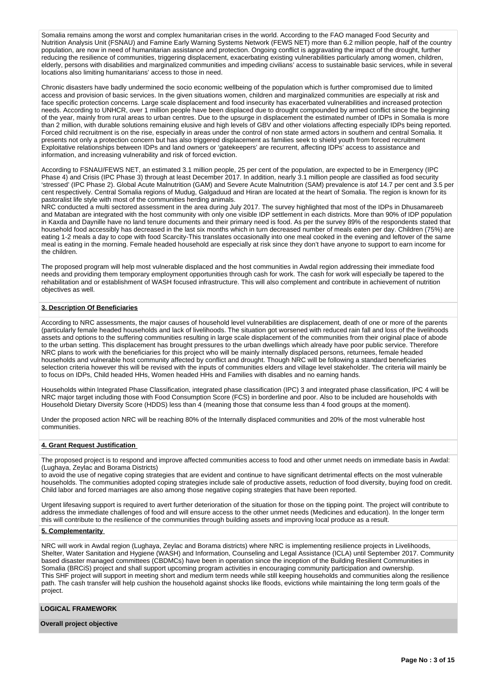Somalia remains among the worst and complex humanitarian crises in the world. According to the FAO managed Food Security and Nutrition Analysis Unit (FSNAU) and Famine Early Warning Systems Network (FEWS NET) more than 6.2 million people, half of the country population, are now in need of humanitarian assistance and protection. Ongoing conflict is aggravating the impact of the drought, further reducing the resilience of communities, triggering displacement, exacerbating existing vulnerabilities particularly among women, children, elderly, persons with disabilities and marginalized communities and impeding civilians' access to sustainable basic services, while in several locations also limiting humanitarians' access to those in need.

Chronic disasters have badly undermined the socio economic wellbeing of the population which is further compromised due to limited access and provision of basic services. In the given situations women, children and marginalized communities are especially at risk and face specific protection concerns. Large scale displacement and food insecurity has exacerbated vulnerabilities and increased protection needs. According to UNHCR, over 1 million people have been displaced due to drought compounded by armed conflict since the beginning of the year, mainly from rural areas to urban centres. Due to the upsurge in displacement the estimated number of IDPs in Somalia is more than 2 million, with durable solutions remaining elusive and high levels of GBV and other violations affecting especially IDPs being reported. Forced child recruitment is on the rise, especially in areas under the control of non state armed actors in southern and central Somalia. It presents not only a protection concern but has also triggered displacement as families seek to shield youth from forced recruitment Exploitative relationships between IDPs and land owners or 'gatekeepers' are recurrent, affecting IDPs' access to assistance and information, and increasing vulnerability and risk of forced eviction.

According to FSNAU/FEWS NET, an estimated 3.1 million people, 25 per cent of the population, are expected to be in Emergency (IPC Phase 4) and Crisis (IPC Phase 3) through at least December 2017. In addition, nearly 3.1 million people are classified as food security 'stressed' (IPC Phase 2). Global Acute Malnutrition (GAM) and Severe Acute Malnutrition (SAM) prevalence is atof 14.7 per cent and 3.5 per cent respectively. Central Somalia regions of Mudug, Galgaduud and Hiran are located at the heart of Somalia. The region is known for its pastoralist life style with most of the communities herding animals.

NRC conducted a multi sectored assessment in the area during July 2017. The survey highlighted that most of the IDPs in Dhusamareeb and Mataban are integrated with the host community with only one visible IDP settlement in each districts. More than 90% of IDP population in Kaxda and Daynille have no land tenure documents and their primary need is food. As per the survey 89% of the respondents stated that household food accessibly has decreased in the last six months which in turn decreased number of meals eaten per day. Children (75%) are eating 1-2 meals a day to cope with food Scarcity-This translates occasionally into one meal cooked in the evening and leftover of the same meal is eating in the morning. Female headed household are especially at risk since they don't have anyone to support to earn income for the children.

The proposed program will help most vulnerable displaced and the host communities in Awdal region addressing their immediate food needs and providing them temporary employment opportunities through cash for work. The cash for work will especially be tapered to the rehabilitation and or establishment of WASH focused infrastructure. This will also complement and contribute in achievement of nutrition objectives as well.

# **3. Description Of Beneficiaries**

According to NRC assessments, the major causes of household level vulnerabilities are displacement, death of one or more of the parents (particularly female headed households and lack of livelihoods. The situation got worsened with reduced rain fall and loss of the livelihoods assets and options to the suffering communities resulting in large scale displacement of the communities from their original place of abode to the urban setting. This displacement has brought pressures to the urban dwellings which already have poor public service. Therefore NRC plans to work with the beneficiaries for this project who will be mainly internally displaced persons, returnees, female headed households and vulnerable host community affected by conflict and drought. Though NRC will be following a standard beneficiaries selection criteria however this will be revised with the inputs of communities elders and village level stakeholder. The criteria will mainly be to focus on IDPs, Child headed HHs, Women headed HHs and Families with disables and no earning hands.

Households within Integrated Phase Classification, integrated phase classification (IPC) 3 and integrated phase classification, IPC 4 will be NRC major target including those with Food Consumption Score (FCS) in borderline and poor. Also to be included are households with Household Dietary Diversity Score (HDDS) less than 4 (meaning those that consume less than 4 food groups at the moment).

Under the proposed action NRC will be reaching 80% of the Internally displaced communities and 20% of the most vulnerable host communities.

#### **4. Grant Request Justification**

The proposed project is to respond and improve affected communities access to food and other unmet needs on immediate basis in Awdal: (Lughaya, Zeylac and Borama Districts)

to avoid the use of negative coping strategies that are evident and continue to have significant detrimental effects on the most vulnerable households. The communities adopted coping strategies include sale of productive assets, reduction of food diversity, buying food on credit. Child labor and forced marriages are also among those negative coping strategies that have been reported.

Urgent lifesaving support is required to avert further deterioration of the situation for those on the tipping point. The project will contribute to address the immediate challenges of food and will ensure access to the other unmet needs (Medicines and education). In the longer term this will contribute to the resilience of the communities through building assets and improving local produce as a result.

## **5. Complementarity**

NRC will work in Awdal region (Lughaya, Zeylac and Borama districts) where NRC is implementing resilience projects in Livelihoods, Shelter, Water Sanitation and Hygiene (WASH) and Information, Counseling and Legal Assistance (ICLA) until September 2017. Community based disaster managed committees (CBDMCs) have been in operation since the inception of the Building Resilient Communities in Somalia (BRCiS) project and shall support upcoming program activities in encouraging community participation and ownership. This SHF project will support in meeting short and medium term needs while still keeping households and communities along the resilience path. The cash transfer will help cushion the household against shocks like floods, evictions while maintaining the long term goals of the project.

#### **LOGICAL FRAMEWORK**

#### **Overall project objective**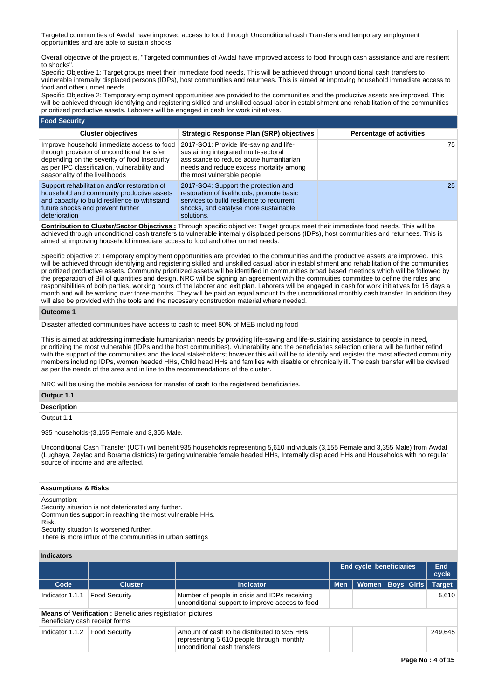Targeted communities of Awdal have improved access to food through Unconditional cash Transfers and temporary employment opportunities and are able to sustain shocks

Overall objective of the project is, "Targeted communities of Awdal have improved access to food through cash assistance and are resilient to shocks".

Specific Objective 1: Target groups meet their immediate food needs. This will be achieved through unconditional cash transfers to vulnerable internally displaced persons (IDPs), host communities and returnees. This is aimed at improving household immediate access to food and other unmet needs.

Specific Objective 2: Temporary employment opportunities are provided to the communities and the productive assets are improved. This will be achieved through identifying and registering skilled and unskilled casual labor in establishment and rehabilitation of the communities prioritized productive assets. Laborers will be engaged in cash for work initiatives.

#### **Food Security**

| <b>Cluster objectives</b>                                                                                                                                                                                                   | <b>Strategic Response Plan (SRP) objectives</b>                                                                                                                                                     | <b>Percentage of activities</b> |
|-----------------------------------------------------------------------------------------------------------------------------------------------------------------------------------------------------------------------------|-----------------------------------------------------------------------------------------------------------------------------------------------------------------------------------------------------|---------------------------------|
| Improve household immediate access to food<br>through provision of unconditional transfer<br>depending on the severity of food insecurity<br>as per IPC classification, vulnerability and<br>seasonality of the livelihoods | 2017-SO1: Provide life-saving and life-<br>sustaining integrated multi-sectoral<br>assistance to reduce acute humanitarian<br>needs and reduce excess mortality among<br>the most vulnerable people | 75.                             |
| Support rehabilitation and/or restoration of<br>household and community productive assets<br>and capacity to build resilience to withstand<br>future shocks and prevent further<br>deterioration                            | 2017-SO4: Support the protection and<br>restoration of livelihoods, promote basic<br>services to build resilience to recurrent<br>shocks, and catalyse more sustainable<br>solutions.               | 25                              |

**Contribution to Cluster/Sector Objectives :** Through specific objective: Target groups meet their immediate food needs. This will be achieved through unconditional cash transfers to vulnerable internally displaced persons (IDPs), host communities and returnees. This is aimed at improving household immediate access to food and other unmet needs.

Specific objective 2: Temporary employment opportunities are provided to the communities and the productive assets are improved. This will be achieved through identifying and registering skilled and unskilled casual labor in establishment and rehabilitation of the communities prioritized productive assets. Community prioritized assets will be identified in communities broad based meetings which will be followed by the preparation of Bill of quantities and design. NRC will be signing an agreement with the commuities committee to define the roles and responsibilities of both parties, working hours of the laborer and exit plan. Laborers will be engaged in cash for work initiatives for 16 days a month and will be working over three months. They will be paid an equal amount to the unconditional monthly cash transfer. In addition they will also be provided with the tools and the necessary construction material where needed.

## **Outcome 1**

Disaster affected communities have access to cash to meet 80% of MEB including food

This is aimed at addressing immediate humanitarian needs by providing life-saving and life-sustaining assistance to people in need, prioritizing the most vulnerable (IDPs and the host communities). Vulnerability and the beneficiaries selection criteria will be further refind with the support of the communities and the local stakeholders; however this will will be to identify and register the most affected community members including IDPs, women headed HHs, Child head HHs and families with disable or chronically ill. The cash transfer will be devised as per the needs of the area and in line to the recommendations of the cluster.

NRC will be using the mobile services for transfer of cash to the registered beneficiaries.

# **Output 1.1**

**Description**

Output 1.1

935 households-(3,155 Female and 3,355 Male.

Unconditional Cash Transfer (UCT) will benefit 935 households representing 5,610 individuals (3,155 Female and 3,355 Male) from Awdal (Lughaya, Zeylac and Borama districts) targeting vulnerable female headed HHs, Internally displaced HHs and Households with no regular source of income and are affected.

# **Assumptions & Risks**

Assumption:

Security situation is not deteriorated any further.

Communities support in reaching the most vulnerable HHs.

Risk:

Security situation is worsened further.

There is more influx of the communities in urban settings

# **Indicators**

|                 |                                                                                                     |                                                                                                                          |            | <b>End cycle beneficiaries</b> |  | End<br>cycle      |               |  |  |  |  |  |
|-----------------|-----------------------------------------------------------------------------------------------------|--------------------------------------------------------------------------------------------------------------------------|------------|--------------------------------|--|-------------------|---------------|--|--|--|--|--|
| Code            | <b>Cluster</b>                                                                                      | <b>Indicator</b>                                                                                                         | <b>Men</b> | <b>Women</b>                   |  | <b>Boys</b> Girls | <b>Target</b> |  |  |  |  |  |
| Indicator 1.1.1 | <b>Food Security</b>                                                                                | Number of people in crisis and IDPs receiving<br>unconditional support to improve access to food                         |            |                                |  |                   | 5.610         |  |  |  |  |  |
|                 | <b>Means of Verification:</b> Beneficiaries registration pictures<br>Beneficiary cash receipt forms |                                                                                                                          |            |                                |  |                   |               |  |  |  |  |  |
| Indicator 1.1.2 | <b>Food Security</b>                                                                                | Amount of cash to be distributed to 935 HHs<br>representing 5 610 people through monthly<br>unconditional cash transfers |            |                                |  |                   | 249.645       |  |  |  |  |  |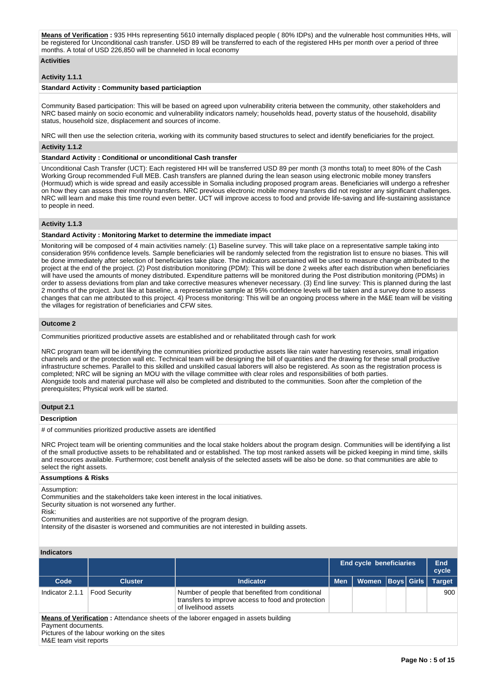**Means of Verification :** 935 HHs representing 5610 internally displaced people ( 80% IDPs) and the vulnerable host communities HHs, will be registered for Unconditional cash transfer. USD 89 will be transferred to each of the registered HHs per month over a period of three months. A total of USD 226,850 will be channeled in local economy

# **Activities**

# **Activity 1.1.1**

#### **Standard Activity : Community based particiaption**

Community Based participation: This will be based on agreed upon vulnerability criteria between the community, other stakeholders and NRC based mainly on socio economic and vulnerability indicators namely; households head, poverty status of the household, disability status, household size, displacement and sources of income.

NRC will then use the selection criteria, working with its community based structures to select and identify beneficiaries for the project.

#### **Activity 1.1.2**

#### **Standard Activity : Conditional or unconditional Cash transfer**

Unconditional Cash Transfer (UCT): Each registered HH will be transferred USD 89 per month (3 months total) to meet 80% of the Cash Working Group recommended Full MEB. Cash transfers are planned during the lean season using electronic mobile money transfers (Hormuud) which is wide spread and easily accessible in Somalia including proposed program areas. Beneficiaries will undergo a refresher on how they can assess their monthly transfers. NRC previous electronic mobile money transfers did not register any significant challenges. NRC will learn and make this time round even better. UCT will improve access to food and provide life-saving and life-sustaining assistance to people in need.

# **Activity 1.1.3**

#### **Standard Activity : Monitoring Market to determine the immediate impact**

Monitoring will be composed of 4 main activities namely: (1) Baseline survey. This will take place on a representative sample taking into consideration 95% confidence levels. Sample beneficiaries will be randomly selected from the registration list to ensure no biases. This will be done immediately after selection of beneficiaries take place. The indicators ascertained will be used to measure change attributed to the project at the end of the project. (2) Post distribution monitoring (PDM): This will be done 2 weeks after each distribution when beneficiaries will have used the amounts of money distributed. Expenditure patterns will be monitored during the Post distribution monitoring (PDMs) in order to assess deviations from plan and take corrective measures whenever necessary. (3) End line survey: This is planned during the last 2 months of the project. Just like at baseline, a representative sample at 95% confidence levels will be taken and a survey done to assess changes that can me attributed to this project. 4) Process monitoring: This will be an ongoing process where in the M&E team will be visiting the villages for registration of beneficiaries and CFW sites.

#### **Outcome 2**

Communities prioritized productive assets are established and or rehabilitated through cash for work

NRC program team will be identifying the communities prioritized productive assets like rain water harvesting reservoirs, small irrigation channels and or the protection wall etc. Technical team will be designing the bill of quantities and the drawing for these small productive infrastructure schemes. Parallel to this skilled and unskilled casual laborers will also be registered. As soon as the registration process is completed; NRC will be signing an MOU with the village committee with clear roles and responsibilities of both parties. Alongside tools and material purchase will also be completed and distributed to the communities. Soon after the completion of the prerequisites; Physical work will be started.

#### **Output 2.1**

#### **Description**

# of communities prioritized productive assets are identified

NRC Project team will be orienting communities and the local stake holders about the program design. Communities will be identifying a list of the small productive assets to be rehabilitated and or established. The top most ranked assets will be picked keeping in mind time, skills and resources available. Furthermore; cost benefit analysis of the selected assets will be also be done. so that communities are able to select the right assets.

#### **Assumptions & Risks**

Assumption:

Communities and the stakeholders take keen interest in the local initiatives.

Security situation is not worsened any further.

Risk:

Communities and austerities are not supportive of the program design.

Intensity of the disaster is worsened and communities are not interested in building assets.

# **Indicators**

| iliuluatul 3                                 |                                             |                                                                                                                                |            |                                |                   |               |
|----------------------------------------------|---------------------------------------------|--------------------------------------------------------------------------------------------------------------------------------|------------|--------------------------------|-------------------|---------------|
|                                              |                                             |                                                                                                                                |            | <b>End cycle beneficiaries</b> |                   | End<br>cycle  |
| Code                                         | <b>Cluster</b>                              | <b>Indicator</b>                                                                                                               | <b>Men</b> | <b>Women</b>                   | <b>Boys Girls</b> | <b>Target</b> |
| Indicator 2.1.1                              | <b>Food Security</b>                        | Number of people that benefited from conditional<br>transfers to improve access to food and protection<br>of livelihood assets |            |                                |                   | 900           |
| Payment documents.<br>M&E team visit reports | Pictures of the labour working on the sites | <b>Means of Verification</b> : Attendance sheets of the laborer engaged in assets building                                     |            |                                |                   |               |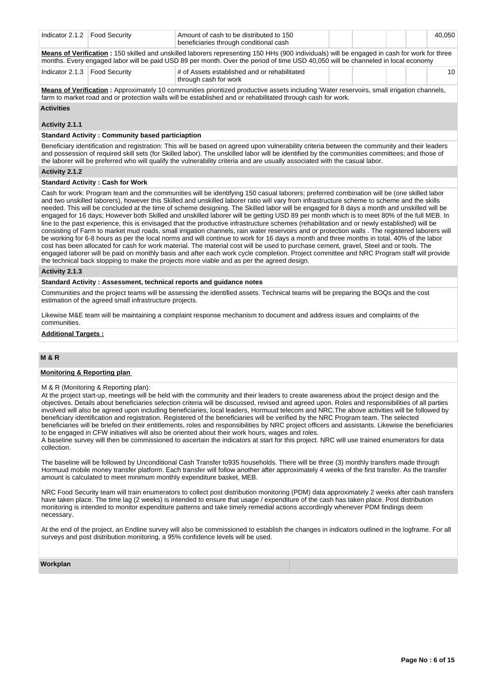|                                 | Amount of cash to be distributed to 150<br>Indicator 2.1.2   Food Security<br>beneficiaries through conditional cash                                                                                                                                                             |                                                                       |  |  |  |  | 40.050          |  |  |  |  |
|---------------------------------|----------------------------------------------------------------------------------------------------------------------------------------------------------------------------------------------------------------------------------------------------------------------------------|-----------------------------------------------------------------------|--|--|--|--|-----------------|--|--|--|--|
|                                 | Means of Verification : 150 skilled and unskilled laborers representing 150 HHs (900 individuals) will be engaged in cash for work for three<br>months. Every engaged labor will be paid USD 89 per month. Over the period of time USD 40,050 will be channeled in local economy |                                                                       |  |  |  |  |                 |  |  |  |  |
| Indicator 2.1.3   Food Security |                                                                                                                                                                                                                                                                                  | # of Assets established and or rehabilitated<br>through cash for work |  |  |  |  | 10 <sup>1</sup> |  |  |  |  |

**Means of Verification :** Approximately 10 communities prioritized productive assets including 'Water reservoirs, small irrigation channels, farm to market road and or protection walls will be established and or rehabilitated through cash for work.

#### **Activities**

**Activity 2.1.1** 

# **Standard Activity : Community based particiaption**

Beneficiary identification and registration: This will be based on agreed upon vulnerability criteria between the community and their leaders and possession of required skill sets (for Skilled labor). The unskilled labor will be identified by the communities committees; and those of the laborer will be preferred who will qualify the vulnerability criteria and are usually associated with the casual labor.

#### **Activity 2.1.2**

#### **Standard Activity : Cash for Work**

Cash for work: Program team and the communities will be identifying 150 casual laborers; preferred combination will be (one skilled labor and two unskilled laborers), however this Skilled and unskilled laborer ratio will vary from infrastructure scheme to scheme and the skills needed. This will be concluded at the time of scheme designing. The Skilled labor will be engaged for 8 days a month and unskilled will be engaged for 16 days; However both Skilled and unskilled laborer will be getting USD 89 per month which is to meet 80% of the full MEB. In line to the past experience, this is envisaged that the productive infrastructure schemes (rehabilitation and or newly established) will be consisting of Farm to market mud roads, small irrigation channels, rain water reservoirs and or protection walls . The registered laborers will be working for 6-8 hours as per the local norms and will continue to work for 16 days a month and three months in total. 40% of the labor cost has been allocated for cash for work material. The material cost will be used to purchase cement, gravel, Steel and or tools. The engaged laborer will be paid on monthly basis and after each work cycle completion. Project committee and NRC Program staff will provide the technical back stopping to make the projects more viable and as per the agreed design.

#### **Activity 2.1.3**

#### **Standard Activity : Assessment, technical reports and guidance notes**

Communities and the project teams will be assessing the identified assets. Technical teams will be preparing the BOQs and the cost estimation of the agreed small infrastructure projects.

Likewise M&E team will be maintaining a complaint response mechanism to document and address issues and complaints of the communities.

# **Additional Targets :**

# **M & R**

## **Monitoring & Reporting plan**

#### M & R (Monitoring & Reporting plan):

At the project start-up, meetings will be held with the community and their leaders to create awareness about the project design and the objectives. Details about beneficiaries selection criteria will be discussed, revised and agreed upon. Roles and responsibilities of all parties involved will also be agreed upon including beneficiaries, local leaders, Hormuud telecom and NRC.The above activities will be followed by beneficiary identification and registration. Registered of the beneficiaries will be verified by the NRC Program team. The selected beneficiaries will be briefed on their entitlements, roles and responsibilities by NRC project officers and assistants. Likewise the beneficiaries to be engaged in CFW initiatives will also be oriented about their work hours, wages and roles.

A baseline survey will then be commissioned to ascertain the indicators at start for this project. NRC will use trained enumerators for data collection.

The baseline will be followed by Unconditional Cash Transfer to935 households. There will be three (3) monthly transfers made through Hormuud mobile money transfer platform. Each transfer will follow another after approximately 4 weeks of the first transfer. As the transfer amount is calculated to meet minimum monthly expenditure basket, MEB.

NRC Food Security team will train enumerators to collect post distribution monitoring (PDM) data approximately 2 weeks after cash transfers have taken place. The time lag (2 weeks) is intended to ensure that usage / expenditure of the cash has taken place. Post distribution monitoring is intended to monitor expenditure patterns and take timely remedial actions accordingly whenever PDM findings deem necessary.

At the end of the project, an Endline survey will also be commissioned to establish the changes in indicators outlined in the logframe. For all surveys and post distribution monitoring, a 95% confidence levels will be used.

#### **Workplan**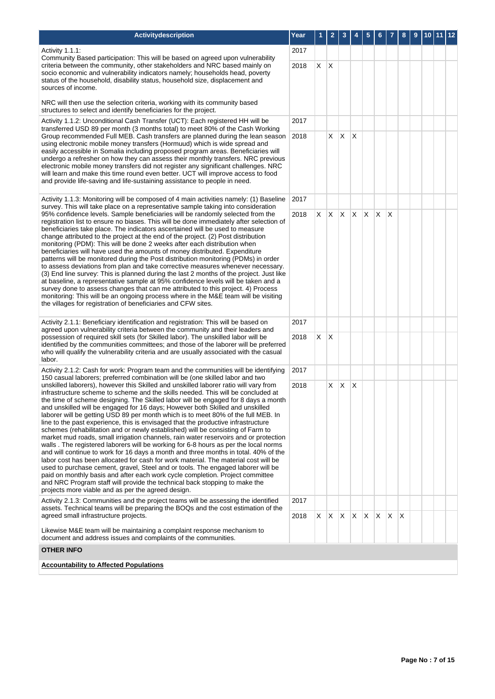| Activitydescription                                                                                                                                                                                                                                                                                                                                                                                                                                                                                                                                                                                                                                                                                                                                                                                                                                                                                                                                                                                                                                                                                                                                                                                                                                                                | Year         | 1 | $\overline{2}$ | 3                 | 4            | 5  | 6        |          | 8            | 9 | 10 11 | $ 12\rangle$ |
|------------------------------------------------------------------------------------------------------------------------------------------------------------------------------------------------------------------------------------------------------------------------------------------------------------------------------------------------------------------------------------------------------------------------------------------------------------------------------------------------------------------------------------------------------------------------------------------------------------------------------------------------------------------------------------------------------------------------------------------------------------------------------------------------------------------------------------------------------------------------------------------------------------------------------------------------------------------------------------------------------------------------------------------------------------------------------------------------------------------------------------------------------------------------------------------------------------------------------------------------------------------------------------|--------------|---|----------------|-------------------|--------------|----|----------|----------|--------------|---|-------|--------------|
| Activity 1.1.1:                                                                                                                                                                                                                                                                                                                                                                                                                                                                                                                                                                                                                                                                                                                                                                                                                                                                                                                                                                                                                                                                                                                                                                                                                                                                    | 2017         |   |                |                   |              |    |          |          |              |   |       |              |
| Community Based participation: This will be based on agreed upon vulnerability<br>criteria between the community, other stakeholders and NRC based mainly on<br>socio economic and vulnerability indicators namely; households head, poverty<br>status of the household, disability status, household size, displacement and<br>sources of income.                                                                                                                                                                                                                                                                                                                                                                                                                                                                                                                                                                                                                                                                                                                                                                                                                                                                                                                                 | 2018         | X | X.             |                   |              |    |          |          |              |   |       |              |
| NRC will then use the selection criteria, working with its community based<br>structures to select and identify beneficiaries for the project.                                                                                                                                                                                                                                                                                                                                                                                                                                                                                                                                                                                                                                                                                                                                                                                                                                                                                                                                                                                                                                                                                                                                     |              |   |                |                   |              |    |          |          |              |   |       |              |
| Activity 1.1.2: Unconditional Cash Transfer (UCT): Each registered HH will be<br>transferred USD 89 per month (3 months total) to meet 80% of the Cash Working                                                                                                                                                                                                                                                                                                                                                                                                                                                                                                                                                                                                                                                                                                                                                                                                                                                                                                                                                                                                                                                                                                                     | 2017<br>2018 |   |                |                   |              |    |          |          |              |   |       |              |
| Group recommended Full MEB. Cash transfers are planned during the lean season<br>using electronic mobile money transfers (Hormuud) which is wide spread and<br>easily accessible in Somalia including proposed program areas. Beneficiaries will<br>undergo a refresher on how they can assess their monthly transfers. NRC previous<br>electronic mobile money transfers did not register any significant challenges. NRC<br>will learn and make this time round even better. UCT will improve access to food<br>and provide life-saving and life-sustaining assistance to people in need.                                                                                                                                                                                                                                                                                                                                                                                                                                                                                                                                                                                                                                                                                        |              |   |                | $X \mid X \mid X$ |              |    |          |          |              |   |       |              |
| Activity 1.1.3: Monitoring will be composed of 4 main activities namely: (1) Baseline<br>survey. This will take place on a representative sample taking into consideration                                                                                                                                                                                                                                                                                                                                                                                                                                                                                                                                                                                                                                                                                                                                                                                                                                                                                                                                                                                                                                                                                                         | 2017         |   |                |                   |              |    |          |          |              |   |       |              |
| 95% confidence levels. Sample beneficiaries will be randomly selected from the<br>registration list to ensure no biases. This will be done immediately after selection of<br>beneficiaries take place. The indicators ascertained will be used to measure<br>change attributed to the project at the end of the project. (2) Post distribution<br>monitoring (PDM): This will be done 2 weeks after each distribution when<br>beneficiaries will have used the amounts of money distributed. Expenditure<br>patterns will be monitored during the Post distribution monitoring (PDMs) in order<br>to assess deviations from plan and take corrective measures whenever necessary.<br>(3) End line survey: This is planned during the last 2 months of the project. Just like<br>at baseline, a representative sample at 95% confidence levels will be taken and a<br>survey done to assess changes that can me attributed to this project. 4) Process<br>monitoring: This will be an ongoing process where in the M&E team will be visiting<br>the villages for registration of beneficiaries and CFW sites.                                                                                                                                                                       | 2018         | X | <b>X</b>       | $X$ $X$           |              | X  | $\times$ | $\times$ |              |   |       |              |
| Activity 2.1.1: Beneficiary identification and registration: This will be based on                                                                                                                                                                                                                                                                                                                                                                                                                                                                                                                                                                                                                                                                                                                                                                                                                                                                                                                                                                                                                                                                                                                                                                                                 | 2017         |   |                |                   |              |    |          |          |              |   |       |              |
| agreed upon vulnerability criteria between the community and their leaders and<br>possession of required skill sets (for Skilled labor). The unskilled labor will be<br>identified by the communities committees; and those of the laborer will be preferred<br>who will qualify the vulnerability criteria and are usually associated with the casual<br>labor.                                                                                                                                                                                                                                                                                                                                                                                                                                                                                                                                                                                                                                                                                                                                                                                                                                                                                                                   | 2018         | X | $\mathsf{X}$   |                   |              |    |          |          |              |   |       |              |
| Activity 2.1.2: Cash for work: Program team and the communities will be identifying<br>150 casual laborers; preferred combination will be (one skilled labor and two                                                                                                                                                                                                                                                                                                                                                                                                                                                                                                                                                                                                                                                                                                                                                                                                                                                                                                                                                                                                                                                                                                               | 2017         |   |                |                   |              |    |          |          |              |   |       |              |
| unskilled laborers), however this Skilled and unskilled laborer ratio will vary from<br>infrastructure scheme to scheme and the skills needed. This will be concluded at<br>the time of scheme designing. The Skilled labor will be engaged for 8 days a month<br>and unskilled will be engaged for 16 days; However both Skilled and unskilled<br>laborer will be getting USD 89 per month which is to meet 80% of the full MEB. In<br>line to the past experience, this is envisaged that the productive infrastructure<br>schemes (rehabilitation and or newly established) will be consisting of Farm to<br>market mud roads, small irrigation channels, rain water reservoirs and or protection<br>walls. The registered laborers will be working for 6-8 hours as per the local norms<br>and will continue to work for 16 days a month and three months in total. 40% of the<br>labor cost has been allocated for cash for work material. The material cost will be<br>used to purchase cement, gravel, Steel and or tools. The engaged laborer will be<br>paid on monthly basis and after each work cycle completion. Project committee<br>and NRC Program staff will provide the technical back stopping to make the<br>projects more viable and as per the agreed design. |              |   | X.             | X                 | $\mathsf{X}$ |    |          |          |              |   |       |              |
| Activity 2.1.3: Communities and the project teams will be assessing the identified<br>assets. Technical teams will be preparing the BOQs and the cost estimation of the                                                                                                                                                                                                                                                                                                                                                                                                                                                                                                                                                                                                                                                                                                                                                                                                                                                                                                                                                                                                                                                                                                            | 2017         |   |                |                   |              |    |          |          |              |   |       |              |
| agreed small infrastructure projects.<br>Likewise M&E team will be maintaining a complaint response mechanism to<br>document and address issues and complaints of the communities.                                                                                                                                                                                                                                                                                                                                                                                                                                                                                                                                                                                                                                                                                                                                                                                                                                                                                                                                                                                                                                                                                                 | 2018         | X | X.             | $\mathsf{X}$      | $\mathsf{X}$ | X. | X.       | X        | <sup>X</sup> |   |       |              |
| <b>OTHER INFO</b>                                                                                                                                                                                                                                                                                                                                                                                                                                                                                                                                                                                                                                                                                                                                                                                                                                                                                                                                                                                                                                                                                                                                                                                                                                                                  |              |   |                |                   |              |    |          |          |              |   |       |              |
| <b>Accountability to Affected Populations</b>                                                                                                                                                                                                                                                                                                                                                                                                                                                                                                                                                                                                                                                                                                                                                                                                                                                                                                                                                                                                                                                                                                                                                                                                                                      |              |   |                |                   |              |    |          |          |              |   |       |              |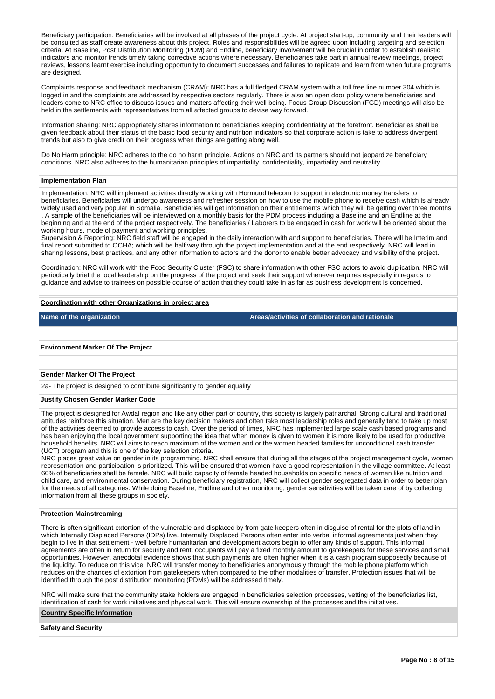Beneficiary participation: Beneficiaries will be involved at all phases of the project cycle. At project start-up, community and their leaders will be consulted as staff create awareness about this project. Roles and responsibilities will be agreed upon including targeting and selection criteria. At Baseline, Post Distribution Monitoring (PDM) and Endline, beneficiary involvement will be crucial in order to establish realistic indicators and monitor trends timely taking corrective actions where necessary. Beneficiaries take part in annual review meetings, project reviews, lessons learnt exercise including opportunity to document successes and failures to replicate and learn from when future programs are designed.

Complaints response and feedback mechanism (CRAM): NRC has a full fledged CRAM system with a toll free line number 304 which is logged in and the complaints are addressed by respective sectors regularly. There is also an open door policy where beneficiaries and leaders come to NRC office to discuss issues and matters affecting their well being. Focus Group Discussion (FGD) meetings will also be held in the settlements with representatives from all affected groups to devise way forward.

Information sharing: NRC appropriately shares information to beneficiaries keeping confidentiality at the forefront. Beneficiaries shall be given feedback about their status of the basic food security and nutrition indicators so that corporate action is take to address divergent trends but also to give credit on their progress when things are getting along well.

Do No Harm principle: NRC adheres to the do no harm principle. Actions on NRC and its partners should not jeopardize beneficiary conditions. NRC also adheres to the humanitarian principles of impartiality, confidentiality, impartiality and neutrality.

#### **Implementation Plan**

Implementation: NRC will implement activities directly working with Hormuud telecom to support in electronic money transfers to beneficiaries. Beneficiaries will undergo awareness and refresher session on how to use the mobile phone to receive cash which is already widely used and very popular in Somalia. Beneficiaries will get information on their entitlements which they will be getting over three months . A sample of the beneficiaries will be interviewed on a monthly basis for the PDM process including a Baseline and an Endline at the beginning and at the end of the project respectively. The beneficiaries / Laborers to be engaged in cash for work will be oriented about the working hours, mode of payment and working principles.

Supervision & Reporting: NRC field staff will be engaged in the daily interaction with and support to beneficiaries. There will be Interim and final report submitted to OCHA; which will be half way through the project implementation and at the end respectively. NRC will lead in sharing lessons, best practices, and any other information to actors and the donor to enable better advocacy and visibility of the project.

Coordination: NRC will work with the Food Security Cluster (FSC) to share information with other FSC actors to avoid duplication. NRC will periodically brief the local leadership on the progress of the project and seek their support whenever requires especially in regards to guidance and advise to trainees on possible course of action that they could take in as far as business development is concerned.

#### **Coordination with other Organizations in project area**

**Name of the organization Areas/activities of collaboration and rationale** 

#### **Environment Marker Of The Project**

#### **Gender Marker Of The Project**

2a- The project is designed to contribute significantly to gender equality

#### **Justify Chosen Gender Marker Code**

The project is designed for Awdal region and like any other part of country, this society is largely patriarchal. Strong cultural and traditional attitudes reinforce this situation. Men are the key decision makers and often take most leadership roles and generally tend to take up most of the activities deemed to provide access to cash. Over the period of times, NRC has implemented large scale cash based programs and has been enjoying the local government supporting the idea that when money is given to women it is more likely to be used for productive household benefits. NRC will aims to reach maximum of the women and or the women headed families for unconditional cash transfer (UCT) program and this is one of the key selection criteria.

NRC places great value on gender in its programming. NRC shall ensure that during all the stages of the project management cycle, women representation and participation is prioritized. This will be ensured that women have a good representation in the village committee. At least 60% of beneficiaries shall be female. NRC will build capacity of female headed households on specific needs of women like nutrition and child care, and environmental conservation. During beneficiary registration, NRC will collect gender segregated data in order to better plan for the needs of all categories. While doing Baseline, Endline and other monitoring, gender sensitivities will be taken care of by collecting information from all these groups in society.

#### **Protection Mainstreaming**

There is often significant extortion of the vulnerable and displaced by from gate keepers often in disguise of rental for the plots of land in which Internally Displaced Persons (IDPs) live. Internally Displaced Persons often enter into verbal informal agreements just when they begin to live in that settlement - well before humanitarian and development actors begin to offer any kinds of support. This informal agreements are often in return for security and rent. occupants will pay a fixed monthly amount to gatekeepers for these services and small opportunities. However, anecdotal evidence shows that such payments are often higher when it is a cash program supposedly because of the liquidity. To reduce on this vice, NRC will transfer money to beneficiaries anonymously through the mobile phone platform which reduces on the chances of extortion from gatekeepers when compared to the other modalities of transfer. Protection issues that will be identified through the post distribution monitoring (PDMs) will be addressed timely.

NRC will make sure that the community stake holders are engaged in beneficiaries selection processes, vetting of the beneficiaries list, identification of cash for work initiatives and physical work. This will ensure ownership of the processes and the initiatives.

#### **Country Specific Information**

**Safety and Security**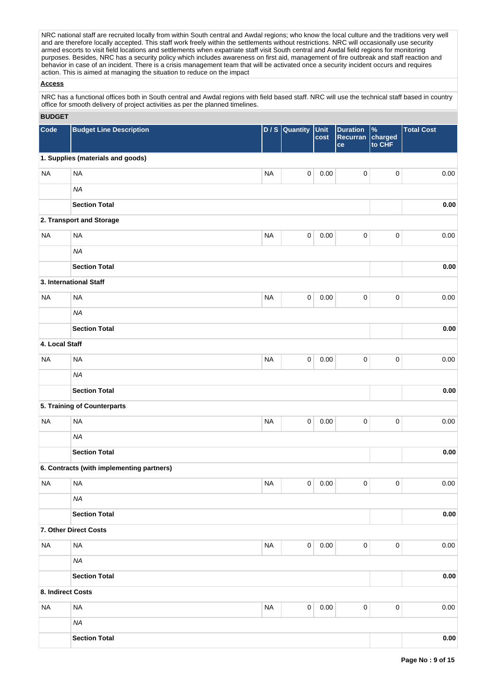NRC national staff are recruited locally from within South central and Awdal regions; who know the local culture and the traditions very well and are therefore locally accepted. This staff work freely within the settlements without restrictions. NRC will occasionally use security and are therefore locally accepted. This staff work freely within the settlements w armed escorts to visit field locations and settlements when expatriate staff visit South central and Awdal field regions for monitoring purposes. Besides, NRC has a security policy which includes awareness on first aid, management of fire outbreak and staff reaction and behavior in case of an incident. There is a crisis management team that will be activated once a security incident occurs and requires action. This is aimed at managing the situation to reduce on the impact

## **Access**

NRC has a functional offices both in South central and Awdal regions with field based staff. NRC will use the technical staff based in country office for smooth delivery of project activities as per the planned timelines.

# **BUDGET**

| <b>DUDGLI</b>     |                                           |           |                     |              |                                   |                           |                   |          |
|-------------------|-------------------------------------------|-----------|---------------------|--------------|-----------------------------------|---------------------------|-------------------|----------|
| Code              | <b>Budget Line Description</b>            |           | D / S Quantity      | Unit<br>cost | <b>Duration</b><br>Recurran<br>ce | $\%$<br>charged<br>to CHF | <b>Total Cost</b> |          |
|                   | 1. Supplies (materials and goods)         |           |                     |              |                                   |                           |                   |          |
| <b>NA</b>         | <b>NA</b>                                 | <b>NA</b> | $\pmb{0}$           | 0.00         | $\pmb{0}$                         | $\pmb{0}$                 |                   | 0.00     |
|                   | <b>NA</b>                                 |           |                     |              |                                   |                           |                   |          |
|                   | <b>Section Total</b>                      |           |                     |              |                                   |                           |                   | 0.00     |
|                   | 2. Transport and Storage                  |           |                     |              |                                   |                           |                   |          |
| <b>NA</b>         | <b>NA</b>                                 | <b>NA</b> | $\mathsf{O}\xspace$ | 0.00         | $\pmb{0}$                         | $\pmb{0}$                 |                   | 0.00     |
|                   | <b>NA</b>                                 |           |                     |              |                                   |                           |                   |          |
|                   | <b>Section Total</b>                      |           |                     |              |                                   |                           |                   | 0.00     |
|                   | 3. International Staff                    |           |                     |              |                                   |                           |                   |          |
| <b>NA</b>         | <b>NA</b>                                 | <b>NA</b> | $\mathsf{O}\xspace$ | 0.00         | $\pmb{0}$                         | $\pmb{0}$                 |                   | 0.00     |
|                   | <b>NA</b>                                 |           |                     |              |                                   |                           |                   |          |
|                   | <b>Section Total</b>                      |           |                     |              |                                   |                           |                   | 0.00     |
| 4. Local Staff    |                                           |           |                     |              |                                   |                           |                   |          |
| <b>NA</b>         | <b>NA</b>                                 | <b>NA</b> | $\mathsf{O}\xspace$ | 0.00         | $\mathbf 0$                       | $\pmb{0}$                 |                   | 0.00     |
|                   | <b>NA</b>                                 |           |                     |              |                                   |                           |                   |          |
|                   | <b>Section Total</b>                      |           |                     |              |                                   |                           |                   | 0.00     |
|                   | 5. Training of Counterparts               |           |                     |              |                                   |                           |                   |          |
| <b>NA</b>         | <b>NA</b>                                 | <b>NA</b> | $\mathsf{O}\xspace$ | 0.00         | $\mathbf 0$                       | $\pmb{0}$                 |                   | 0.00     |
|                   | <b>NA</b>                                 |           |                     |              |                                   |                           |                   |          |
|                   | <b>Section Total</b>                      |           |                     |              |                                   |                           |                   | 0.00     |
|                   | 6. Contracts (with implementing partners) |           |                     |              |                                   |                           |                   |          |
| <b>NA</b>         | <b>NA</b>                                 | <b>NA</b> | 0                   | 0.00         | 0                                 | $\pmb{0}$                 |                   | 0.00     |
|                   | <b>NA</b>                                 |           |                     |              |                                   |                           |                   |          |
|                   | <b>Section Total</b>                      |           |                     |              |                                   |                           |                   | $0.00\,$ |
|                   | 7. Other Direct Costs                     |           |                     |              |                                   |                           |                   |          |
| <b>NA</b>         | <b>NA</b>                                 | <b>NA</b> | $\overline{0}$      | 0.00         | $\pmb{0}$                         | $\pmb{0}$                 |                   | 0.00     |
|                   | <b>NA</b>                                 |           |                     |              |                                   |                           |                   |          |
|                   | <b>Section Total</b>                      |           |                     |              |                                   |                           |                   | 0.00     |
| 8. Indirect Costs |                                           |           |                     |              |                                   |                           |                   |          |
| <b>NA</b>         | <b>NA</b>                                 | <b>NA</b> | $\mathsf{O}\xspace$ | 0.00         | $\pmb{0}$                         | $\pmb{0}$                 |                   | $0.00\,$ |
|                   | <b>NA</b>                                 |           |                     |              |                                   |                           |                   |          |
|                   | <b>Section Total</b>                      |           |                     |              |                                   |                           |                   | $0.00\,$ |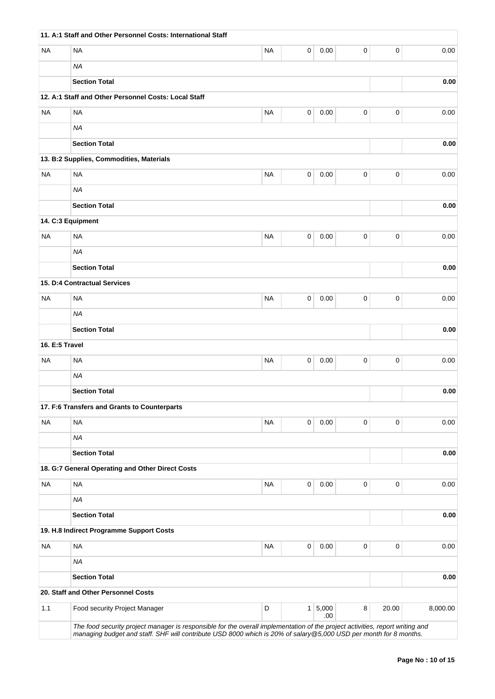|                | 11. A:1 Staff and Other Personnel Costs: International Staff                                                                  |           |   |         |           |             |          |
|----------------|-------------------------------------------------------------------------------------------------------------------------------|-----------|---|---------|-----------|-------------|----------|
| <b>NA</b>      | <b>NA</b>                                                                                                                     | <b>NA</b> | 0 | 0.00    | 0         | 0           | 0.00     |
|                | <b>NA</b>                                                                                                                     |           |   |         |           |             |          |
|                | <b>Section Total</b>                                                                                                          |           |   |         |           |             | 0.00     |
|                | 12. A:1 Staff and Other Personnel Costs: Local Staff                                                                          |           |   |         |           |             |          |
| <b>NA</b>      | <b>NA</b>                                                                                                                     | <b>NA</b> | 0 | 0.00    | 0         | 0           | 0.00     |
|                | <b>NA</b>                                                                                                                     |           |   |         |           |             |          |
|                | <b>Section Total</b>                                                                                                          |           |   |         |           |             | 0.00     |
|                | 13. B:2 Supplies, Commodities, Materials                                                                                      |           |   |         |           |             |          |
| <b>NA</b>      | <b>NA</b>                                                                                                                     | <b>NA</b> | 0 | 0.00    | $\pmb{0}$ | 0           | 0.00     |
|                | <b>NA</b>                                                                                                                     |           |   |         |           |             |          |
|                | <b>Section Total</b>                                                                                                          |           |   |         |           |             | 0.00     |
|                | 14. C:3 Equipment                                                                                                             |           |   |         |           |             |          |
| <b>NA</b>      | <b>NA</b>                                                                                                                     | <b>NA</b> | 0 | 0.00    | 0         | 0           | 0.00     |
|                | <b>NA</b>                                                                                                                     |           |   |         |           |             |          |
|                | <b>Section Total</b>                                                                                                          |           |   |         |           |             | 0.00     |
|                | 15. D:4 Contractual Services                                                                                                  |           |   |         |           |             |          |
| <b>NA</b>      | <b>NA</b>                                                                                                                     | <b>NA</b> | 0 | 0.00    | 0         | 0           | 0.00     |
|                | <b>NA</b>                                                                                                                     |           |   |         |           |             |          |
|                | <b>Section Total</b>                                                                                                          |           |   |         |           |             | 0.00     |
| 16. E:5 Travel |                                                                                                                               |           |   |         |           |             |          |
| <b>NA</b>      | <b>NA</b>                                                                                                                     | <b>NA</b> | 0 | 0.00    | 0         | 0           | 0.00     |
|                | <b>NA</b>                                                                                                                     |           |   |         |           |             |          |
|                | <b>Section Total</b>                                                                                                          |           |   |         |           |             | 0.00     |
|                | 17. F:6 Transfers and Grants to Counterparts                                                                                  |           |   |         |           |             |          |
| <b>NA</b>      | <b>NA</b>                                                                                                                     | <b>NA</b> | 0 | 0.00    | 0         | 0           | 0.00     |
|                | <b>NA</b>                                                                                                                     |           |   |         |           |             |          |
|                | <b>Section Total</b>                                                                                                          |           |   |         |           |             | 0.00     |
|                | 18. G:7 General Operating and Other Direct Costs                                                                              |           |   |         |           |             |          |
| <b>NA</b>      | <b>NA</b>                                                                                                                     | <b>NA</b> | 0 | 0.00    | 0         | 0           | 0.00     |
|                | <b>NA</b>                                                                                                                     |           |   |         |           |             |          |
|                | <b>Section Total</b>                                                                                                          |           |   |         |           |             | 0.00     |
|                | 19. H.8 Indirect Programme Support Costs                                                                                      |           |   |         |           |             |          |
| <b>NA</b>      | <b>NA</b>                                                                                                                     | <b>NA</b> | 0 | 0.00    | 0         | $\mathbf 0$ | 0.00     |
|                | <b>NA</b>                                                                                                                     |           |   |         |           |             |          |
|                | <b>Section Total</b>                                                                                                          |           |   |         |           |             | 0.00     |
|                | 20. Staff and Other Personnel Costs                                                                                           |           |   |         |           |             |          |
| 1.1            | Food security Project Manager                                                                                                 | D         |   | 1 5,000 | 8         | 20.00       | 8,000.00 |
|                | The food security project manager is responsible for the overall implementation of the project activities, report writing and |           |   | .00     |           |             |          |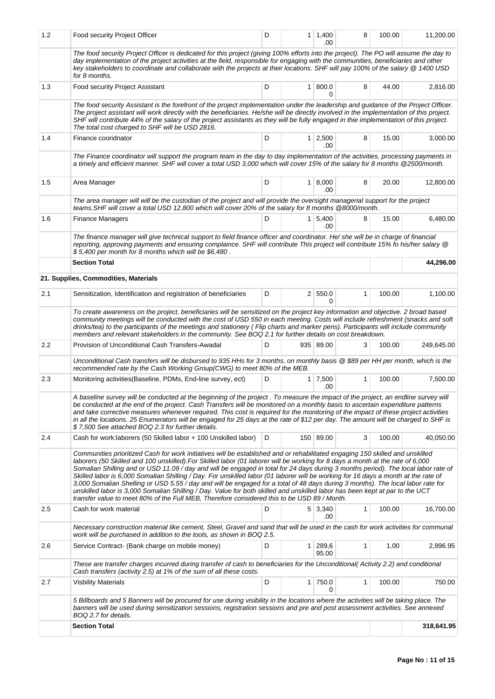| 1.2 | Food security Project Officer                                                                                                                                                                                                                                                                                                                                                                                                                                                                                                                                                                                                                                                                                                                                                                                                                                                                                 | D | $1 \mid 1,400$<br>.00   | 8            | 100.00 | 11,200.00  |
|-----|---------------------------------------------------------------------------------------------------------------------------------------------------------------------------------------------------------------------------------------------------------------------------------------------------------------------------------------------------------------------------------------------------------------------------------------------------------------------------------------------------------------------------------------------------------------------------------------------------------------------------------------------------------------------------------------------------------------------------------------------------------------------------------------------------------------------------------------------------------------------------------------------------------------|---|-------------------------|--------------|--------|------------|
|     | The food security Project Officer is dedicated for this project (giving 100% efforts into the project). The PO will assume the day to<br>day implementation of the project activities at the field, responsible for engaging with the communities, beneficiaries and other<br>key stakeholders to coordinate and collaborate with the projects at their locations. SHF will pay 100% of the salary @ 1400 USD<br>for 8 months.                                                                                                                                                                                                                                                                                                                                                                                                                                                                                |   |                         |              |        |            |
| 1.3 | Food security Project Assistant                                                                                                                                                                                                                                                                                                                                                                                                                                                                                                                                                                                                                                                                                                                                                                                                                                                                               | D | 1   800.0<br>0          | 8            | 44.00  | 2,816.00   |
|     | The food security Assistant is the forefront of the project implementation under the leadership and guidance of the Project Officer.<br>The project assistant will work directly with the beneficiaries. He/she will be directly involved in the implementation of this project.<br>SHF will contribute 44% of the salary of the project assistants as they will be fully engaged in thie implementation of this project.<br>The total cost charged to SHF will be USD 2816.                                                                                                                                                                                                                                                                                                                                                                                                                                  |   |                         |              |        |            |
| 1.4 | Finance cooridnator                                                                                                                                                                                                                                                                                                                                                                                                                                                                                                                                                                                                                                                                                                                                                                                                                                                                                           | D | $1 \mid 2,500$<br>.00   | 8            | 15.00  | 3,000.00   |
|     | The Finance coordinator will support the program team in the day to day implementation of the activities, processing payments in<br>a timely and efficient manner. SHF will cover a total USD 3,000 which will cover 15% of the salary for 8 months @2500/month.                                                                                                                                                                                                                                                                                                                                                                                                                                                                                                                                                                                                                                              |   |                         |              |        |            |
| 1.5 | Area Manager                                                                                                                                                                                                                                                                                                                                                                                                                                                                                                                                                                                                                                                                                                                                                                                                                                                                                                  | D | $1 \, 8,000$<br>.00     | 8            | 20.00  | 12,800.00  |
|     | The area manager will will be the custodian of the project and will provide the oversight managerial support for the project<br>teams. SHF will cover a total USD 12,800 which will cover 20% of the salary for 8 months @8000/month.                                                                                                                                                                                                                                                                                                                                                                                                                                                                                                                                                                                                                                                                         |   |                         |              |        |            |
| 1.6 | <b>Finance Managers</b>                                                                                                                                                                                                                                                                                                                                                                                                                                                                                                                                                                                                                                                                                                                                                                                                                                                                                       | D | 1 5,400<br>.00          | 8            | 15.00  | 6,480.00   |
|     | The finance manager will give technical support to field finance officer and coordinator. He/ she will be in charge of financial<br>reporting, approving payments and ensuring complaince. SHF will contribute This project will contribute 15% fo his/her salary @<br>\$5,400 per month for 8 months which will be \$6,480.                                                                                                                                                                                                                                                                                                                                                                                                                                                                                                                                                                                  |   |                         |              |        |            |
|     | <b>Section Total</b>                                                                                                                                                                                                                                                                                                                                                                                                                                                                                                                                                                                                                                                                                                                                                                                                                                                                                          |   |                         |              |        | 44,296.00  |
|     | 21. Supplies, Commodities, Materials                                                                                                                                                                                                                                                                                                                                                                                                                                                                                                                                                                                                                                                                                                                                                                                                                                                                          |   |                         |              |        |            |
| 2.1 | Sensitization, Identification and registration of beneficiaries                                                                                                                                                                                                                                                                                                                                                                                                                                                                                                                                                                                                                                                                                                                                                                                                                                               | D | 2   550.0<br>0          | 1            | 100.00 | 1,100.00   |
|     | To create awareness on the project, beneficiaries will be sensitized on the project key information and objective. 2 broad based<br>community meetings will be conducted with the cost of USD 550 in each meeting. Costs will include refreshment (snacks and soft<br>drinks/tea) to the participants of the meetings and stationery (Flip charts and marker pens). Participants will include community<br>members and relevant stakeholders in the community. See BOQ 2.1 for further details on cost breakdown.                                                                                                                                                                                                                                                                                                                                                                                             |   |                         |              |        |            |
| 2.2 | Provision of Unconditional Cash Transfers-Awadal                                                                                                                                                                                                                                                                                                                                                                                                                                                                                                                                                                                                                                                                                                                                                                                                                                                              | D | 935 89.00               | 3            | 100.00 | 249,645.00 |
|     | Unconditional Cash transfers will be disbursed to 935 HHs for 3 months, on monthly basis @ \$89 per HH per month, which is the<br>recommended rate by the Cash Working Group(CWG) to meet 80% of the MEB.                                                                                                                                                                                                                                                                                                                                                                                                                                                                                                                                                                                                                                                                                                     |   |                         |              |        |            |
| 2.3 | Monitoring activities (Baseline, PDMs, End-line survey, ect)                                                                                                                                                                                                                                                                                                                                                                                                                                                                                                                                                                                                                                                                                                                                                                                                                                                  | D | $1 \mid 7,500$<br>.00.  | 1            | 100.00 | 7,500.00   |
|     | A baseline survey will be conducted at the beginning of the project. To measure the impact of the project, an endline survey will<br>be conducted at the end of the project. Cash Transfers will be monitored on a monthly basis to ascertain expenditure patterns<br>and take corrective measures whenever required. This cost is required for the monitoring of the impact of these project activities<br>in all the locations. 25 Enumerators will be engaged for 25 days at the rate of \$12 per day. The amount will be charged to SHF is<br>\$7,500 See attached BOQ 2.3 for further details.                                                                                                                                                                                                                                                                                                           |   |                         |              |        |            |
| 2.4 | Cash for work: laborers (50 Skilled labor + 100 Unskilled labor)                                                                                                                                                                                                                                                                                                                                                                                                                                                                                                                                                                                                                                                                                                                                                                                                                                              | D | 150 89.00               | 3            | 100.00 | 40,050.00  |
|     | Communities prioritized Cash for work initiatives will be established and or rehabilitated engaging 150 skilled and unskilled<br>laborers (50 Skilled and 100 unskilled). For Skilled labor (01 laborer will be working for 8 days a month at the rate of 6,000<br>Somalian Shilling and or USD 11.09 / day and will be engaged in total for 24 days during 3 months period). The local labor rate of<br>Skilled labor is 6,000 Somalian Shilling / Day. For unskilled labor (01 laborer will be working for 16 days a month at the rate of<br>3,000 Somalian Shelling or USD 5.55 / day and will be engaged for a total of 48 days during 3 months). The local labor rate for<br>unskilled labor is 3,000 Somalian Shilling / Day. Value for both skilled and unskilled labor has been kept at par to the UCT<br>transfer value to meet 80% of the Full MEB, Therefore considered this to be USD 89 / Month. |   |                         |              |        |            |
| 2.5 | Cash for work material                                                                                                                                                                                                                                                                                                                                                                                                                                                                                                                                                                                                                                                                                                                                                                                                                                                                                        | D | 5 3,340<br>.00          | 1            | 100.00 | 16,700.00  |
|     | Necessary construction material like cement, Steel, Gravel and sand that will be used in the cash for work activities for communal<br>work will be purchased in addition to the tools, as shown in BOQ 2.5.                                                                                                                                                                                                                                                                                                                                                                                                                                                                                                                                                                                                                                                                                                   |   |                         |              |        |            |
| 2.6 | Service Contract- (Bank charge on mobile money)                                                                                                                                                                                                                                                                                                                                                                                                                                                                                                                                                                                                                                                                                                                                                                                                                                                               | D | $1 \mid 289,6$<br>95.00 | $\mathbf{1}$ | 1.00   | 2,896.95   |
|     | These are transfer charges incurred during transfer of cash to beneficiaries for the Unconditional(Activity 2.2) and conditional<br>Cash transfers (activity 2.5) at 1% of the sum of all these costs.                                                                                                                                                                                                                                                                                                                                                                                                                                                                                                                                                                                                                                                                                                        |   |                         |              |        |            |
| 2.7 | <b>Visbility Materials</b>                                                                                                                                                                                                                                                                                                                                                                                                                                                                                                                                                                                                                                                                                                                                                                                                                                                                                    | D | 1 750.0<br>0            | 1            | 100.00 | 750.00     |
|     | 5 Billboards and 5 Banners will be procured for use during visibility in the locations where the activities will be taking place. The<br>banners will be used during sensitization sessions, registration sessions and pre and post assessment activities. See annexed<br>BOQ 2.7 for details.                                                                                                                                                                                                                                                                                                                                                                                                                                                                                                                                                                                                                |   |                         |              |        |            |
|     | <b>Section Total</b>                                                                                                                                                                                                                                                                                                                                                                                                                                                                                                                                                                                                                                                                                                                                                                                                                                                                                          |   |                         |              |        | 318,641.95 |
|     |                                                                                                                                                                                                                                                                                                                                                                                                                                                                                                                                                                                                                                                                                                                                                                                                                                                                                                               |   |                         |              |        |            |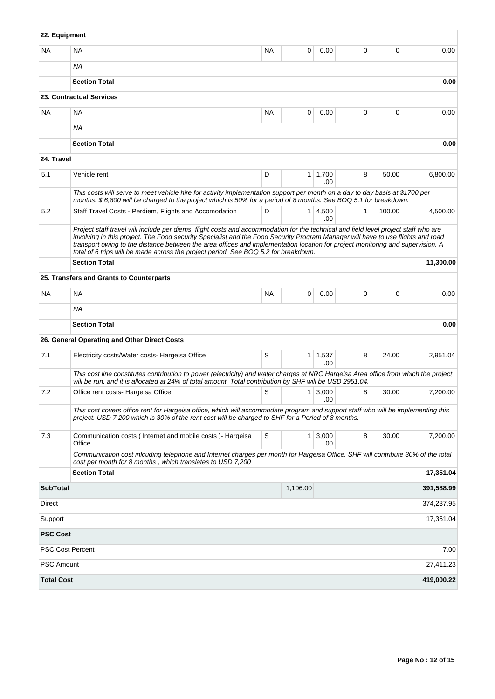| 22. Equipment           |                                                                                                                                                                                                                                                                                                                                                                                                                                                                                                 |           |                |                       |              |        |            |  |  |
|-------------------------|-------------------------------------------------------------------------------------------------------------------------------------------------------------------------------------------------------------------------------------------------------------------------------------------------------------------------------------------------------------------------------------------------------------------------------------------------------------------------------------------------|-----------|----------------|-----------------------|--------------|--------|------------|--|--|
| <b>NA</b>               | <b>NA</b>                                                                                                                                                                                                                                                                                                                                                                                                                                                                                       | <b>NA</b> | 0              | 0.00                  | 0            | 0      | 0.00       |  |  |
|                         | <b>NA</b>                                                                                                                                                                                                                                                                                                                                                                                                                                                                                       |           |                |                       |              |        |            |  |  |
|                         | <b>Section Total</b>                                                                                                                                                                                                                                                                                                                                                                                                                                                                            |           |                |                       |              |        | 0.00       |  |  |
|                         | 23. Contractual Services                                                                                                                                                                                                                                                                                                                                                                                                                                                                        |           |                |                       |              |        |            |  |  |
| <b>NA</b>               | NA                                                                                                                                                                                                                                                                                                                                                                                                                                                                                              | <b>NA</b> | 0              | 0.00                  | 0            | 0      | 0.00       |  |  |
|                         | <b>NA</b>                                                                                                                                                                                                                                                                                                                                                                                                                                                                                       |           |                |                       |              |        |            |  |  |
|                         | <b>Section Total</b>                                                                                                                                                                                                                                                                                                                                                                                                                                                                            |           |                |                       |              |        | 0.00       |  |  |
| 24. Travel              |                                                                                                                                                                                                                                                                                                                                                                                                                                                                                                 |           |                |                       |              |        |            |  |  |
| 5.1                     | Vehicle rent                                                                                                                                                                                                                                                                                                                                                                                                                                                                                    | D         | 1 <sup>1</sup> | 1,700<br>.00          | 8            | 50.00  | 6,800.00   |  |  |
|                         | This costs will serve to meet vehicle hire for activity implementation support per month on a day to day basis at \$1700 per<br>months. \$6,800 will be charged to the project which is 50% for a period of 8 months. See BOQ 5.1 for breakdown.                                                                                                                                                                                                                                                |           |                |                       |              |        |            |  |  |
| 5.2                     | Staff Travel Costs - Perdiem, Flights and Accomodation                                                                                                                                                                                                                                                                                                                                                                                                                                          | D         |                | $1 \mid 4,500$<br>.00 | $\mathbf{1}$ | 100.00 | 4,500.00   |  |  |
|                         | Project staff travel will include per diems, flight costs and accommodation for the technical and field level project staff who are<br>involving in this project. The Food security Specialist and the Food Security Program Manager will have to use flights and road<br>transport owing to the distance between the area offices and implementation location for project monitoring and supervision. A<br>total of 6 trips will be made across the project period. See BOQ 5.2 for breakdown. |           |                |                       |              |        |            |  |  |
|                         | <b>Section Total</b>                                                                                                                                                                                                                                                                                                                                                                                                                                                                            |           |                |                       |              |        | 11,300.00  |  |  |
|                         | 25. Transfers and Grants to Counterparts                                                                                                                                                                                                                                                                                                                                                                                                                                                        |           |                |                       |              |        |            |  |  |
| <b>NA</b>               | <b>NA</b>                                                                                                                                                                                                                                                                                                                                                                                                                                                                                       | <b>NA</b> | 0              | 0.00                  | $\mathbf 0$  | 0      | 0.00       |  |  |
|                         | <b>NA</b>                                                                                                                                                                                                                                                                                                                                                                                                                                                                                       |           |                |                       |              |        |            |  |  |
|                         | <b>Section Total</b>                                                                                                                                                                                                                                                                                                                                                                                                                                                                            |           |                |                       |              |        | 0.00       |  |  |
|                         | 26. General Operating and Other Direct Costs                                                                                                                                                                                                                                                                                                                                                                                                                                                    |           |                |                       |              |        |            |  |  |
| 7.1                     | Electricity costs/Water costs- Hargeisa Office                                                                                                                                                                                                                                                                                                                                                                                                                                                  | S         |                | $1 \mid 1,537$<br>.00 | 8            | 24.00  | 2,951.04   |  |  |
|                         | This cost line constitutes contribution to power (electricity) and water charges at NRC Hargeisa Area office from which the project<br>will be run, and it is allocated at 24% of total amount. Total contribution by SHF will be USD 2951.04.                                                                                                                                                                                                                                                  |           |                |                       |              |        |            |  |  |
| 7.2                     | Office rent costs- Hargeisa Office                                                                                                                                                                                                                                                                                                                                                                                                                                                              | S         | $\mathbf{1}$   | 3,000<br>.00          | 8            | 30.00  | 7,200.00   |  |  |
|                         | This cost covers office rent for Hargeisa office, which will accommodate program and support staff who will be implementing this<br>project. USD 7,200 which is 30% of the rent cost will be charged to SHF for a Period of 8 months.                                                                                                                                                                                                                                                           |           |                |                       |              |        |            |  |  |
| 7.3                     | Communication costs (Internet and mobile costs) - Hargeisa<br>Office                                                                                                                                                                                                                                                                                                                                                                                                                            | S         | 1 <sup>1</sup> | 3,000<br>.00          | 8            | 30.00  | 7,200.00   |  |  |
|                         | Communication cost inlcuding telephone and Internet charges per month for Hargeisa Office. SHF will contribute 30% of the total<br>cost per month for 8 months, which translates to USD 7,200                                                                                                                                                                                                                                                                                                   |           |                |                       |              |        |            |  |  |
|                         | <b>Section Total</b>                                                                                                                                                                                                                                                                                                                                                                                                                                                                            |           |                |                       |              |        | 17,351.04  |  |  |
| <b>SubTotal</b>         |                                                                                                                                                                                                                                                                                                                                                                                                                                                                                                 |           | 1,106.00       |                       |              |        | 391,588.99 |  |  |
| Direct                  |                                                                                                                                                                                                                                                                                                                                                                                                                                                                                                 |           | 374,237.95     |                       |              |        |            |  |  |
| Support                 |                                                                                                                                                                                                                                                                                                                                                                                                                                                                                                 |           |                |                       |              |        |            |  |  |
| <b>PSC Cost</b>         |                                                                                                                                                                                                                                                                                                                                                                                                                                                                                                 |           |                |                       |              |        |            |  |  |
| <b>PSC Cost Percent</b> |                                                                                                                                                                                                                                                                                                                                                                                                                                                                                                 |           |                |                       |              |        | 7.00       |  |  |
| <b>PSC Amount</b>       |                                                                                                                                                                                                                                                                                                                                                                                                                                                                                                 |           |                |                       |              |        | 27,411.23  |  |  |
| <b>Total Cost</b>       |                                                                                                                                                                                                                                                                                                                                                                                                                                                                                                 |           |                |                       |              |        | 419,000.22 |  |  |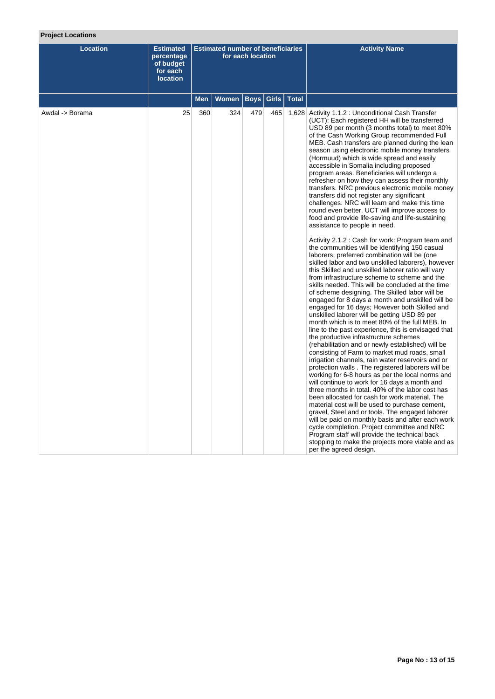# **Project Locations**

| <b>Location</b> | <b>Estimated</b><br>percentage<br>of budget<br>for each<br><b>location</b> | <b>Estimated number of beneficiaries</b><br>for each location |              |             |       |              | <b>Activity Name</b>                                                                                                                                                                                                                                                                                                                                                                                                                                                                                                                                                                                                                                                                                                                                                                                                                                                                                                                                                                                                                                                                                                                                                                                                                                                                                                                                                                                                                                                                                                                                                                                                                                                                                                                                                                                                                                                                                                                                                                                                                                                                                                                                                                                                                                               |
|-----------------|----------------------------------------------------------------------------|---------------------------------------------------------------|--------------|-------------|-------|--------------|--------------------------------------------------------------------------------------------------------------------------------------------------------------------------------------------------------------------------------------------------------------------------------------------------------------------------------------------------------------------------------------------------------------------------------------------------------------------------------------------------------------------------------------------------------------------------------------------------------------------------------------------------------------------------------------------------------------------------------------------------------------------------------------------------------------------------------------------------------------------------------------------------------------------------------------------------------------------------------------------------------------------------------------------------------------------------------------------------------------------------------------------------------------------------------------------------------------------------------------------------------------------------------------------------------------------------------------------------------------------------------------------------------------------------------------------------------------------------------------------------------------------------------------------------------------------------------------------------------------------------------------------------------------------------------------------------------------------------------------------------------------------------------------------------------------------------------------------------------------------------------------------------------------------------------------------------------------------------------------------------------------------------------------------------------------------------------------------------------------------------------------------------------------------------------------------------------------------------------------------------------------------|
|                 |                                                                            | <b>Men</b>                                                    | <b>Women</b> | <b>Boys</b> | Girls | <b>Total</b> |                                                                                                                                                                                                                                                                                                                                                                                                                                                                                                                                                                                                                                                                                                                                                                                                                                                                                                                                                                                                                                                                                                                                                                                                                                                                                                                                                                                                                                                                                                                                                                                                                                                                                                                                                                                                                                                                                                                                                                                                                                                                                                                                                                                                                                                                    |
| Awdal -> Borama | 25                                                                         | 360                                                           | 324          | 479         | 465   |              | 1,628 Activity 1.1.2 : Unconditional Cash Transfer<br>(UCT): Each registered HH will be transferred<br>USD 89 per month (3 months total) to meet 80%<br>of the Cash Working Group recommended Full<br>MEB. Cash transfers are planned during the lean<br>season using electronic mobile money transfers<br>(Hormuud) which is wide spread and easily<br>accessible in Somalia including proposed<br>program areas. Beneficiaries will undergo a<br>refresher on how they can assess their monthly<br>transfers. NRC previous electronic mobile money<br>transfers did not register any significant<br>challenges. NRC will learn and make this time<br>round even better. UCT will improve access to<br>food and provide life-saving and life-sustaining<br>assistance to people in need.<br>Activity 2.1.2 : Cash for work: Program team and<br>the communities will be identifying 150 casual<br>laborers; preferred combination will be (one<br>skilled labor and two unskilled laborers), however<br>this Skilled and unskilled laborer ratio will vary<br>from infrastructure scheme to scheme and the<br>skills needed. This will be concluded at the time<br>of scheme designing. The Skilled labor will be<br>engaged for 8 days a month and unskilled will be<br>engaged for 16 days; However both Skilled and<br>unskilled laborer will be getting USD 89 per<br>month which is to meet 80% of the full MEB. In<br>line to the past experience, this is envisaged that<br>the productive infrastructure schemes<br>(rehabilitation and or newly established) will be<br>consisting of Farm to market mud roads, small<br>irrigation channels, rain water reservoirs and or<br>protection walls. The registered laborers will be<br>working for 6-8 hours as per the local norms and<br>will continue to work for 16 days a month and<br>three months in total. 40% of the labor cost has<br>been allocated for cash for work material. The<br>material cost will be used to purchase cement,<br>gravel, Steel and or tools. The engaged laborer<br>will be paid on monthly basis and after each work<br>cycle completion. Project committee and NRC<br>Program staff will provide the technical back<br>stopping to make the projects more viable and as |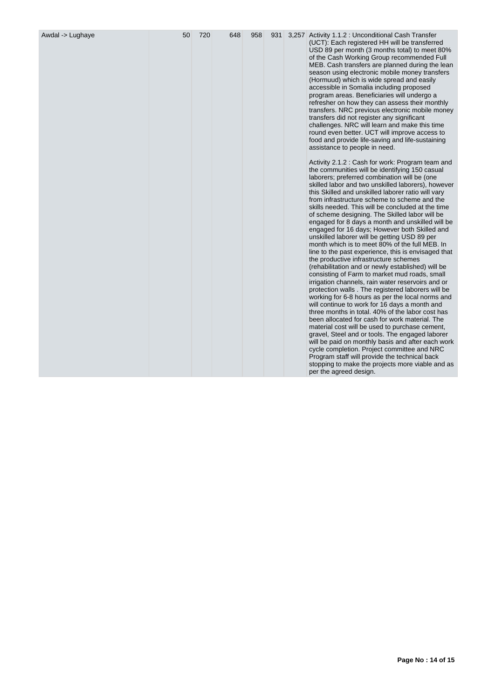| Awdal -> Lughaye | 50 | 720 | 648 | 958 | 931 |  | 3,257 Activity 1.1.2 : Unconditional Cash Transfer<br>(UCT): Each registered HH will be transferred<br>USD 89 per month (3 months total) to meet 80%<br>of the Cash Working Group recommended Full<br>MEB. Cash transfers are planned during the lean<br>season using electronic mobile money transfers<br>(Hormuud) which is wide spread and easily<br>accessible in Somalia including proposed<br>program areas. Beneficiaries will undergo a<br>refresher on how they can assess their monthly<br>transfers. NRC previous electronic mobile money<br>transfers did not register any significant<br>challenges. NRC will learn and make this time<br>round even better. UCT will improve access to<br>food and provide life-saving and life-sustaining<br>assistance to people in need.<br>Activity 2.1.2 : Cash for work: Program team and<br>the communities will be identifying 150 casual<br>laborers; preferred combination will be (one<br>skilled labor and two unskilled laborers), however<br>this Skilled and unskilled laborer ratio will vary<br>from infrastructure scheme to scheme and the<br>skills needed. This will be concluded at the time<br>of scheme designing. The Skilled labor will be<br>engaged for 8 days a month and unskilled will be<br>engaged for 16 days; However both Skilled and<br>unskilled laborer will be getting USD 89 per<br>month which is to meet 80% of the full MEB. In<br>line to the past experience, this is envisaged that<br>the productive infrastructure schemes<br>(rehabilitation and or newly established) will be<br>consisting of Farm to market mud roads, small<br>irrigation channels, rain water reservoirs and or<br>protection walls. The registered laborers will be<br>working for 6-8 hours as per the local norms and<br>will continue to work for 16 days a month and<br>three months in total. 40% of the labor cost has<br>been allocated for cash for work material. The<br>material cost will be used to purchase cement,<br>gravel, Steel and or tools. The engaged laborer<br>will be paid on monthly basis and after each work<br>cycle completion. Project committee and NRC<br>Program staff will provide the technical back<br>stopping to make the projects more viable and as |
|------------------|----|-----|-----|-----|-----|--|--------------------------------------------------------------------------------------------------------------------------------------------------------------------------------------------------------------------------------------------------------------------------------------------------------------------------------------------------------------------------------------------------------------------------------------------------------------------------------------------------------------------------------------------------------------------------------------------------------------------------------------------------------------------------------------------------------------------------------------------------------------------------------------------------------------------------------------------------------------------------------------------------------------------------------------------------------------------------------------------------------------------------------------------------------------------------------------------------------------------------------------------------------------------------------------------------------------------------------------------------------------------------------------------------------------------------------------------------------------------------------------------------------------------------------------------------------------------------------------------------------------------------------------------------------------------------------------------------------------------------------------------------------------------------------------------------------------------------------------------------------------------------------------------------------------------------------------------------------------------------------------------------------------------------------------------------------------------------------------------------------------------------------------------------------------------------------------------------------------------------------------------------------------------------------------------------------------------------------------------------------------------|
|------------------|----|-----|-----|-----|-----|--|--------------------------------------------------------------------------------------------------------------------------------------------------------------------------------------------------------------------------------------------------------------------------------------------------------------------------------------------------------------------------------------------------------------------------------------------------------------------------------------------------------------------------------------------------------------------------------------------------------------------------------------------------------------------------------------------------------------------------------------------------------------------------------------------------------------------------------------------------------------------------------------------------------------------------------------------------------------------------------------------------------------------------------------------------------------------------------------------------------------------------------------------------------------------------------------------------------------------------------------------------------------------------------------------------------------------------------------------------------------------------------------------------------------------------------------------------------------------------------------------------------------------------------------------------------------------------------------------------------------------------------------------------------------------------------------------------------------------------------------------------------------------------------------------------------------------------------------------------------------------------------------------------------------------------------------------------------------------------------------------------------------------------------------------------------------------------------------------------------------------------------------------------------------------------------------------------------------------------------------------------------------------|